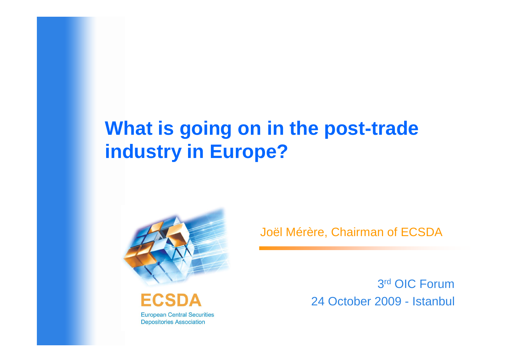#### **What is going on in the post-trade industry in Europe?**



**European Central Securities Depositories Association** 

Joël Mérère, Chairman of ECSDA

3 rd OIC Forum 24 October 2009 - Istanbul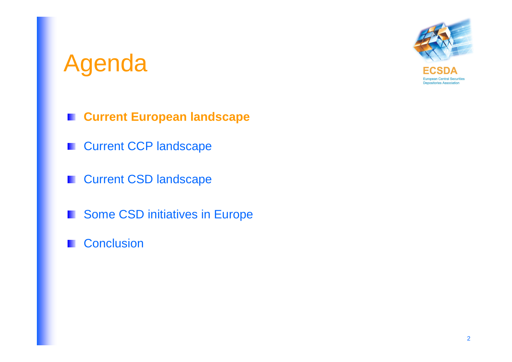

## Agenda

- **Current European landscape**
- **E** Current CCP landscape
- **Current CSD landscape**
- **N** Some CSD initiatives in Europe
- **Conclusion**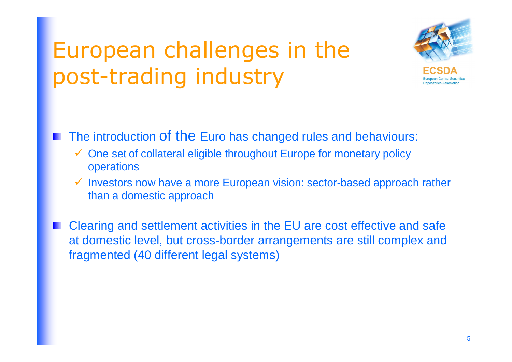## European challenges in the post-trading industry



The introduction Of the Euro has changed rules and behaviours:

- $\checkmark$  One set of collateral eligible throughout Europe for monetary policy operations
- $\checkmark$  Investors now have a more European vision: sector-based approach rather than a domestic approach

Clearing and settlement activities in the EU are cost effective and safe at domestic level, but cross-border arrangements are still complex and fragmented (40 different legal systems)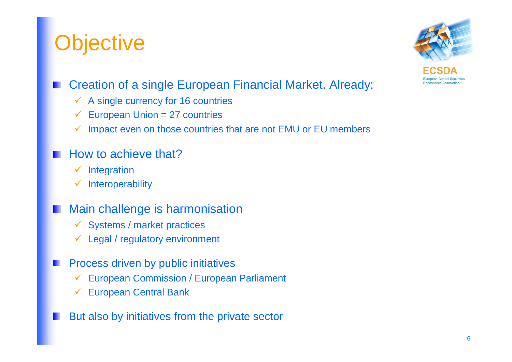## **Objective**



#### Creation of a single European Financial Market. Already:

- $\checkmark$  A single currency for 16 countries
- $\checkmark$  European Union = 27 countries
- $\checkmark$  Impact even on those countries that are not EMU or EU members

#### How to achieve that?

- $\checkmark$  Integration
- $\checkmark$  Interoperability

#### Main challenge is harmonisation

- $\checkmark$  Systems / market practices
- $\checkmark$  Legal / regulatory environment
- Process driven by public initiatives
	- European Commission / European Parliament
	- European Central Bank
- But also by initiatives from the private sector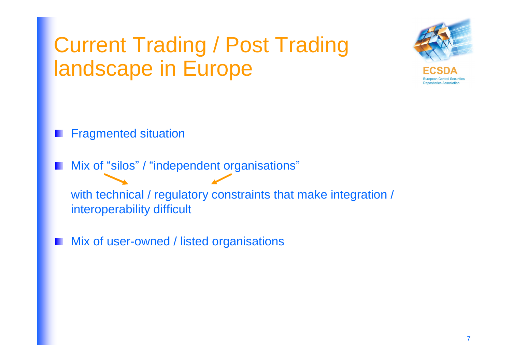#### Current Trading / Post Trading landscape in Europe



- **Filter Fragmented situation**
- **Mix of "silos" / "independent organisations"** with technical / regulatory constraints that make integration / interoperability difficult
- **Mix of user-owned / listed organisations**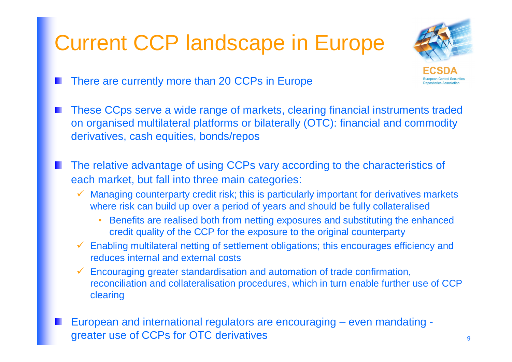## Current CCP landscape in Europe



- There are currently more than 20 CCPs in Europe
- These CCps serve a wide range of markets, clearing financial instruments traded on organised multilateral platforms or bilaterally (OTC): financial and commodity derivatives, cash equities, bonds/repos
- The relative advantage of using CCPs vary according to the characteristics of each market, but fall into three main categories:
	- $\checkmark$  Managing counterparty credit risk; this is particularly important for derivatives markets where risk can build up over a period of years and should be fully collateralised
		- Benefits are realised both from netting exposures and substituting the enhanced credit quality of the CCP for the exposure to the original counterparty
	- $\checkmark$  Enabling multilateral netting of settlement obligations; this encourages efficiency and reduces internal and external costs
	- $\checkmark$  Encouraging greater standardisation and automation of trade confirmation, reconciliation and collateralisation procedures, which in turn enable further use of CCP clearing
- European and international regulators are encouraging even mandating greater use of CCPs for OTC derivatives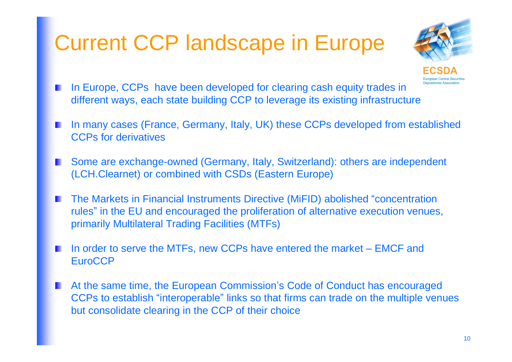#### Current CCP landscape in Europe



- In Europe, CCPs have been developed for clearing cash equity trades in different ways, each state building CCP to leverage its existing infrastructure
- In many cases (France, Germany, Italy, UK) these CCPs developed from established CCPs for derivatives
- Some are exchange-owned (Germany, Italy, Switzerland): others are independent (LCH.Clearnet) or combined with CSDs (Eastern Europe)
- The Markets in Financial Instruments Directive (MiFID) abolished "concentration rules" in the EU and encouraged the proliferation of alternative execution venues, primarily Multilateral Trading Facilities (MTFs)
- In order to serve the MTFs, new CCPs have entered the market EMCF and **EuroCCP**
- At the same time, the European Commission's Code of Conduct has encouraged CCPs to establish "interoperable" links so that firms can trade on the multiple venues but consolidate clearing in the CCP of their choice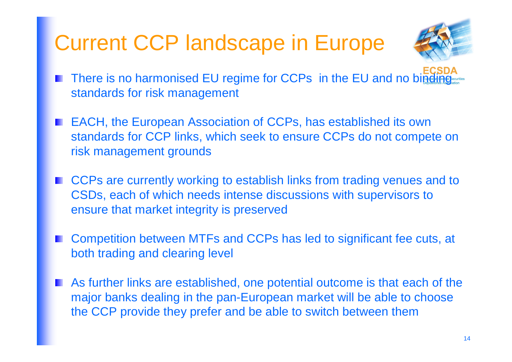### Current CCP landscape in Europe



- **There is no harmonised EU regime for CCPs in the EU and no binding** standards for risk management
- **EXCH, the European Association of CCPs, has established its own** standards for CCP links, which seek to ensure CCPs do not compete on risk management grounds
- CCPs are currently working to establish links from trading venues and to CSDs, each of which needs intense discussions with supervisors to ensure that market integrity is preserved
- Competition between MTFs and CCPs has led to significant fee cuts, at both trading and clearing level
- **As further links are established, one potential outcome is that each of the** major banks dealing in the pan-European market will be able to choose the CCP provide they prefer and be able to switch between them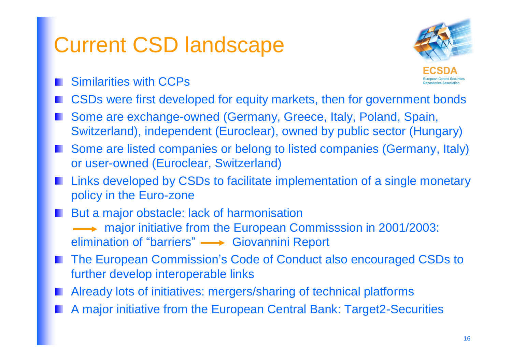#### Current CSD landscape



- Similarities with CCPs
- CSDs were first developed for equity markets, then for government bonds
- Some are exchange-owned (Germany, Greece, Italy, Poland, Spain, Switzerland), independent (Euroclear), owned by public sector (Hungary)
- Some are listed companies or belong to listed companies (Germany, Italy) or user-owned (Euroclear, Switzerland)
- Links developed by CSDs to facilitate implementation of a single monetary policy in the Euro-zone
- **But a major obstacle: lack of harmonisation** → major initiative from the European Commisssion in 2001/2003: elimination of "barriers" - Giovannini Report
- The European Commission's Code of Conduct also encouraged CSDs to further develop interoperable links
- **M** Already lots of initiatives: mergers/sharing of technical platforms
- A major initiative from the European Central Bank: Target2-Securities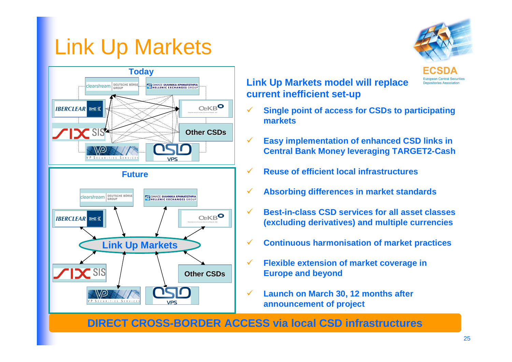## Link Up Markets





#### **Link Up Markets model will replace current inefficient set-up**

- **Single point of access for CSDs to participating markets**
- **Easy implementation of enhanced CSD links in Central Bank Money leveraging TARGET2-Cash**
- **Reuse of efficient local infrastructures**
- **Absorbing differences in market standards**
- **Best-in-class CSD services for all asset classes (excluding derivatives) and multiple currencies**
- **Continuous harmonisation of market practices**
- **Flexible extension of market coverage in Europe and beyond**
- **Launch on March 30, 12 months after announcement of project**

**DIRECT CROSS-BORDER ACCESS via local CSD infrastructures**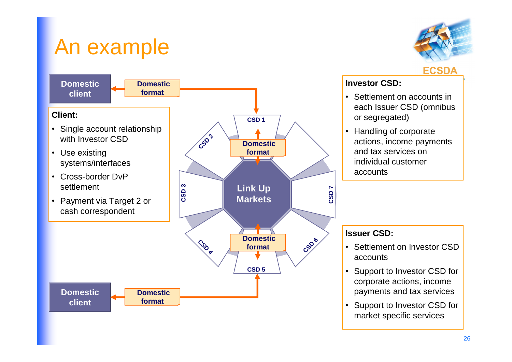### An example



#### **ECSDA Investor CSD: Domestic Domestic format client** • Settlement on accounts in each Issuer CSD (omnibus **Client:** or segregated) **CSD 1** • Single account relationship • Handling of corporate **CSD 2** with Investor CSD actions, income payments **Domestic** and tax services on **format** • Use existing individual customer systems/interfaces accounts • Cross-border DvP settlement **CSD 3 Link Up CSD 7 Markets** • Payment via Target 2 or cash correspondent **Issuer CSD:** CSD 6 **Domestic C**SD 9 • Settlement on Investor CSD **format** accounts **CSD 5** • Support to Investor CSD for corporate actions, income payments and tax services **Domestic Domestic format client** • Support to Investor CSD for market specific services

26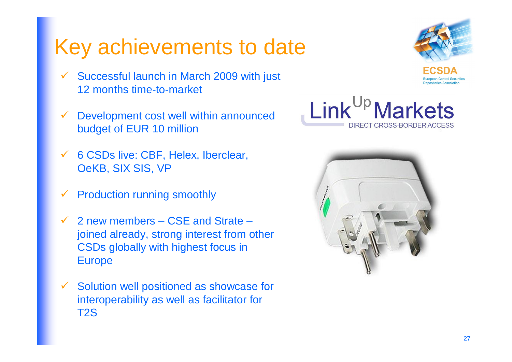#### Key achievements to date

- $\checkmark$  Successful launch in March 2009 with just 12 months time-to-market
- $\checkmark$  Development cost well within announced budget of EUR 10 million
- $6$  CSDs live: CBF, Helex, Iberclear, OeKB, SIX SIS, VP
- $\checkmark$  Production running smoothly
- 2 new members CSE and Strate joined already, strong interest from other CSDs globally with highest focus in Europe
- Solution well positioned as showcase for interoperability as well as facilitator for T2S





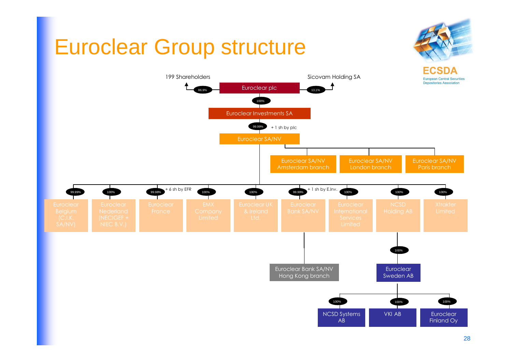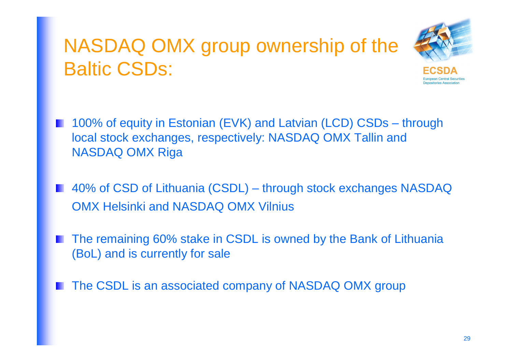#### NASDAQ OMX group ownership of the Baltic CSDs:



- **100% of equity in Estonian (EVK) and Latvian (LCD) CSDs through** local stock exchanges, respectively: NASDAQ OMX Tallin and NASDAQ OMX Riga
- 40% of CSD of Lithuania (CSDL) through stock exchanges NASDAQ OMX Helsinki and NASDAQ OMX Vilnius
- The remaining 60% stake in CSDL is owned by the Bank of Lithuania (BoL) and is currently for sale
- The CSDL is an associated company of NASDAQ OMX groupa a s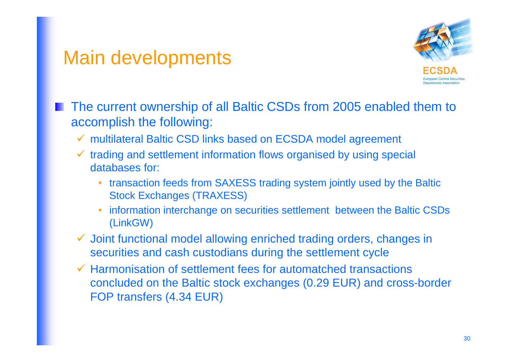#### Main developments



- The current ownership of all Baltic CSDs from 2005 enabled them to accomplish the following:
	- multilateral Baltic CSD links based on ECSDA model agreement
	- $\checkmark$  trading and settlement information flows organised by using special databases for:
		- transaction feeds from SAXESS trading system jointly used by the Baltic Stock Exchanges (TRAXESS)
		- information interchange on securities settlement between the Baltic CSDs (LinkGW)
	- Joint functional model allowing enriched trading orders, changes in securities and cash custodians during the settlement cycle
	- $\checkmark$  Harmonisation of settlement fees for automatched transactions concluded on the Baltic stock exchanges (0.29 EUR) and cross-border FOP transfers (4.34 EUR)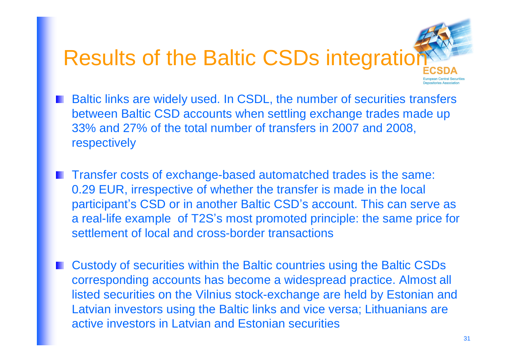# **Results of the Baltic CSDs integration**

- **Baltic links are widely used. In CSDL, the number of securities transfers** between Baltic CSD accounts when settling exchange trades made up 33% and 27% of the total number of transfers in 2007 and 2008, respectively
- **The Transfer costs of exchange-based automatched trades is the same:** 0.29 EUR, irrespective of whether the transfer is made in the local participant's CSD or in another Baltic CSD's account. This can serve as a real-life example of T2S's most promoted principle: the same price for settlement of local and cross-border transactions
- Custody of securities within the Baltic countries using the Baltic CSDs corresponding accounts has become a widespread practice. Almost all listed securities on the Vilnius stock-exchange are held by Estonian and Latvian investors using the Baltic links and vice versa; Lithuanians are active investors in Latvian and Estonian securities